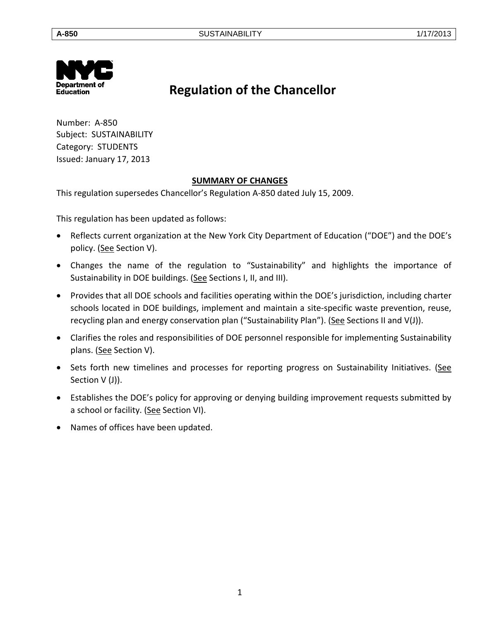

# **Regulation of the Chancellor**

Number: A-850 Subject: SUSTAINABILITY Category: STUDENTS Issued: January 17, 2013

# **SUMMARY OF CHANGES**

This regulation supersedes Chancellor's Regulation A-850 dated July 15, 2009.

This regulation has been updated as follows:

- Reflects current organization at the New York City Department of Education ("DOE") and the DOE's policy. (See Section V).
- Changes the name of the regulation to "Sustainability" and highlights the importance of Sustainability in DOE buildings. (See Sections I, II, and III).
- Provides that all DOE schools and facilities operating within the DOE's jurisdiction, including charter schools located in DOE buildings, implement and maintain a site-specific waste prevention, reuse, recycling plan and energy conservation plan ("Sustainability Plan"). (See Sections II and V(J)).
- Clarifies the roles and responsibilities of DOE personnel responsible for implementing Sustainability plans. (See Section V).
- Sets forth new timelines and processes for reporting progress on Sustainability Initiatives. (See Section V (J)).
- Establishes the DOE's policy for approving or denying building improvement requests submitted by a school or facility. (See Section VI).
- Names of offices have been updated.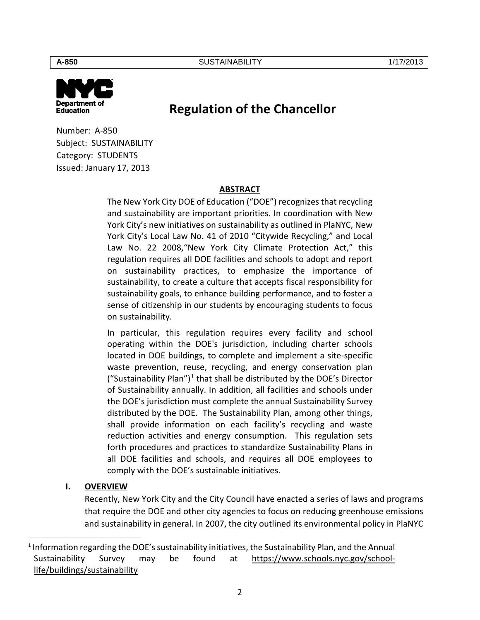

# **Regulation of the Chancellor**

Number: A-850 Subject: SUSTAINABILITY Category: STUDENTS Issued: January 17, 2013

## **ABSTRACT**

The New York City DOE of Education ("DOE") recognizes that recycling and sustainability are important priorities. In coordination with New York City's new initiatives on sustainability as outlined in PlaNYC, New York City's Local Law No. 41 of 2010 "Citywide Recycling," and Local Law No. 22 2008,"New York City Climate Protection Act," this regulation requires all DOE facilities and schools to adopt and report on sustainability practices, to emphasize the importance of sustainability, to create a culture that accepts fiscal responsibility for sustainability goals, to enhance building performance, and to foster a sense of citizenship in our students by encouraging students to focus on sustainability.

In particular, this regulation requires every facility and school operating within the DOE's jurisdiction, including charter schools located in DOE buildings, to complete and implement a site-specific waste prevention, reuse, recycling, and energy conservation plan ("Sustainability Plan")<sup>[1](#page-1-0)</sup> that shall be distributed by the DOE's Director of Sustainability annually. In addition, all facilities and schools under the DOE's jurisdiction must complete the annual Sustainability Survey distributed by the DOE. The Sustainability Plan, among other things, shall provide information on each facility's recycling and waste reduction activities and energy consumption. This regulation sets forth procedures and practices to standardize Sustainability Plans in all DOE facilities and schools, and requires all DOE employees to comply with the DOE's sustainable initiatives.

## **I. OVERVIEW**

 $\overline{a}$ 

Recently, New York City and the City Council have enacted a series of laws and programs that require the DOE and other city agencies to focus on reducing greenhouse emissions and sustainability in general. In 2007, the city outlined its environmental policy in PlaNYC

2

<span id="page-1-0"></span><sup>1</sup> Information regarding the DOE's sustainability initiatives, the Sustainability Plan, and the Annual Sustainability Survey may be found at [https://www.schools.nyc.gov/school](https://www.schools.nyc.gov/school-life/buildings/sustainability)[life/buildings/sustainability](https://www.schools.nyc.gov/school-life/buildings/sustainability)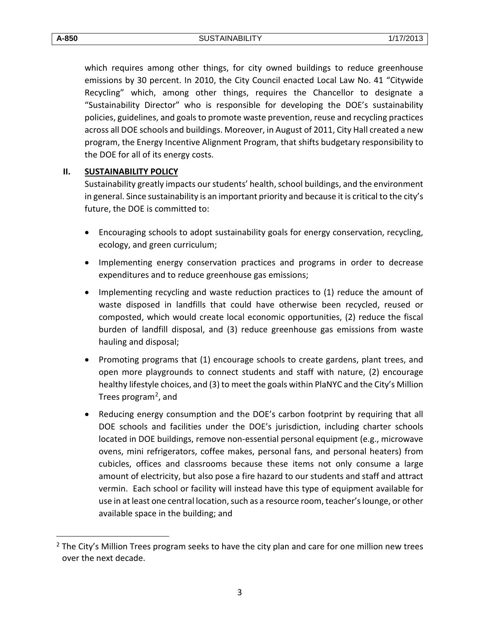**A-850** SUSTAINABILITY 1/17/2013

which requires among other things, for city owned buildings to reduce greenhouse emissions by 30 percent. In 2010, the City Council enacted Local Law No. 41 "Citywide Recycling" which, among other things, requires the Chancellor to designate a "Sustainability Director" who is responsible for developing the DOE's sustainability policies, guidelines, and goals to promote waste prevention, reuse and recycling practices across all DOE schools and buildings. Moreover, in August of 2011, City Hall created a new program, the Energy Incentive Alignment Program, that shifts budgetary responsibility to the DOE for all of its energy costs.

## **II. SUSTAINABILITY POLICY**

Sustainability greatly impacts our students' health, school buildings, and the environment in general. Since sustainability is an important priority and because it is critical to the city's future, the DOE is committed to:

- Encouraging schools to adopt sustainability goals for energy conservation, recycling, ecology, and green curriculum;
- Implementing energy conservation practices and programs in order to decrease expenditures and to reduce greenhouse gas emissions;
- Implementing recycling and waste reduction practices to (1) reduce the amount of waste disposed in landfills that could have otherwise been recycled, reused or composted, which would create local economic opportunities, (2) reduce the fiscal burden of landfill disposal, and (3) reduce greenhouse gas emissions from waste hauling and disposal;
- Promoting programs that (1) encourage schools to create gardens, plant trees, and open more playgrounds to connect students and staff with nature, (2) encourage healthy lifestyle choices, and (3) to meet the goals within PlaNYC and the City's Million Trees program<sup>2</sup>, and
- Reducing energy consumption and the DOE's carbon footprint by requiring that all DOE schools and facilities under the DOE's jurisdiction, including charter schools located in DOE buildings, remove non-essential personal equipment (e.g., microwave ovens, mini refrigerators, coffee makes, personal fans, and personal heaters) from cubicles, offices and classrooms because these items not only consume a large amount of electricity, but also pose a fire hazard to our students and staff and attract vermin. Each school or facility will instead have this type of equipment available for use in at least one central location, such as a resource room, teacher's lounge, or other available space in the building; and

 $\overline{a}$ 

<span id="page-2-0"></span> $2$  The City's Million Trees program seeks to have the city plan and care for one million new trees over the next decade.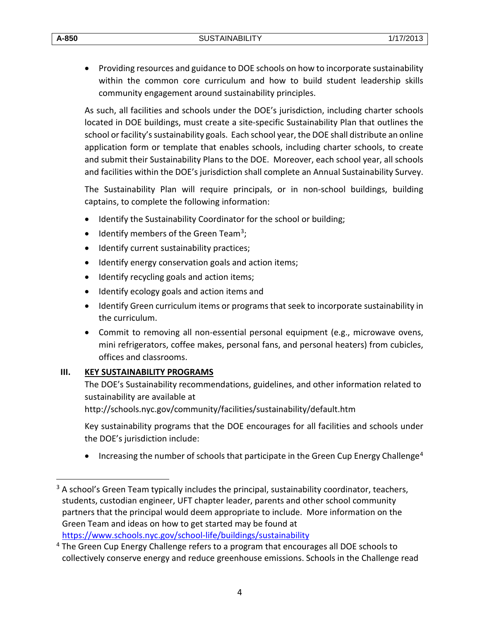• Providing resources and guidance to DOE schools on how to incorporate sustainability within the common core curriculum and how to build student leadership skills community engagement around sustainability principles.

As such, all facilities and schools under the DOE's jurisdiction, including charter schools located in DOE buildings, must create a site-specific Sustainability Plan that outlines the school or facility's sustainability goals. Each school year, the DOE shall distribute an online application form or template that enables schools, including charter schools, to create and submit their Sustainability Plans to the DOE. Moreover, each school year, all schools and facilities within the DOE's jurisdiction shall complete an Annual Sustainability Survey.

The Sustainability Plan will require principals, or in non-school buildings, building captains, to complete the following information:

- Identify the Sustainability Coordinator for the school or building;
- Identify members of the Green Team<sup>[3](#page-3-0)</sup>;
- Identify current sustainability practices;
- Identify energy conservation goals and action items;
- Identify recycling goals and action items;
- Identify ecology goals and action items and
- Identify Green curriculum items or programs that seek to incorporate sustainability in the curriculum.
- Commit to removing all non-essential personal equipment (e.g., microwave ovens, mini refrigerators, coffee makes, personal fans, and personal heaters) from cubicles, offices and classrooms.

## **III. KEY SUSTAINABILITY PROGRAMS**

 $\overline{a}$ 

The DOE's Sustainability recommendations, guidelines, and other information related to sustainability are available at

<http://schools.nyc.gov/community/facilities/sustainability/default.htm>

Key sustainability programs that the DOE encourages for all facilities and schools under the DOE's jurisdiction include:

Increasing the number of schools that participate in the Green Cup Energy Challenge<sup>[4](#page-3-1)</sup>

<span id="page-3-0"></span><sup>&</sup>lt;sup>3</sup> A school's Green Team typically includes the principal, sustainability coordinator, teachers, students, custodian engineer, UFT chapter leader, parents and other school community partners that the principal would deem appropriate to include. More information on the Green Team and ideas on how to get started may be found at https://www.schools.nyc.gov/school-life/buildings/sustainability<br>4 The Green Cup Energy Challenge refers to a program that encourages all DOE schools to

<span id="page-3-1"></span>collectively conserve energy and reduce greenhouse emissions. Schools in the Challenge read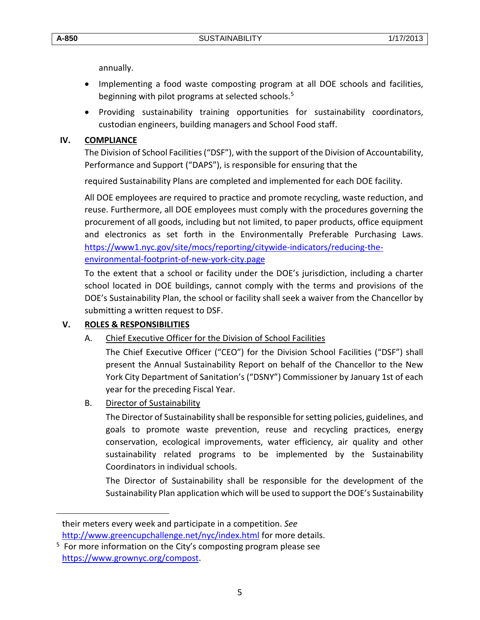$\overline{a}$ 

annually.

- Implementing a food waste composting program at all DOE schools and facilities, beginning with pilot programs at selected schools.<sup>[5](#page-4-0)</sup>
- Providing sustainability training opportunities for sustainability coordinators, custodian engineers, building managers and School Food staff.

# **IV. COMPLIANCE**

The Division of School Facilities ("DSF"), with the support of the Division of Accountability, Performance and Support ("DAPS"), is responsible for ensuring that the

required Sustainability Plans are completed and implemented for each DOE facility.

All DOE employees are required to practice and promote recycling, waste reduction, and reuse. Furthermore, all DOE employees must comply with the procedures governing the procurement of all goods, including but not limited, to paper products, office equipment and electronics as set forth in the Environmentally Preferable Purchasing Laws. [https://www1.nyc.gov/site/mocs/reporting/citywide-indicators/reducing-the](https://www1.nyc.gov/site/mocs/reporting/citywide-indicators/reducing-the-environmental-footprint-of-new-york-city.page)[environmental-footprint-of-new-york-city.page](https://www1.nyc.gov/site/mocs/reporting/citywide-indicators/reducing-the-environmental-footprint-of-new-york-city.page)

To the extent that a school or facility under the DOE's jurisdiction, including a charter school located in DOE buildings, cannot comply with the terms and provisions of the DOE's Sustainability Plan, the school or facility shall seek a waiver from the Chancellor by submitting a written request to DSF.

# **V. ROLES & RESPONSIBILITIES**

# A. Chief Executive Officer for the Division of School Facilities

The Chief Executive Officer ("CEO") for the Division School Facilities ("DSF") shall present the Annual Sustainability Report on behalf of the Chancellor to the New York City Department of Sanitation's ("DSNY") Commissioner by January 1st of each year for the preceding Fiscal Year.

## B. Director of Sustainability

The Director of Sustainability shall be responsible for setting policies, guidelines, and goals to promote waste prevention, reuse and recycling practices, energy conservation, ecological improvements, water efficiency, air quality and other sustainability related programs to be implemented by the Sustainability Coordinators in individual schools.

The Director of Sustainability shall be responsible for the development of the Sustainability Plan application which will be used to support the DOE's Sustainability

their meters every week and participate in a competition. *See*  <http://www.greencupchallenge.net/nyc/index.html> for more details.

<span id="page-4-0"></span><sup>&</sup>lt;sup>5</sup> For more information on the City's composting program please see [https://www.grownyc.org/compost.](https://www.grownyc.org/compost)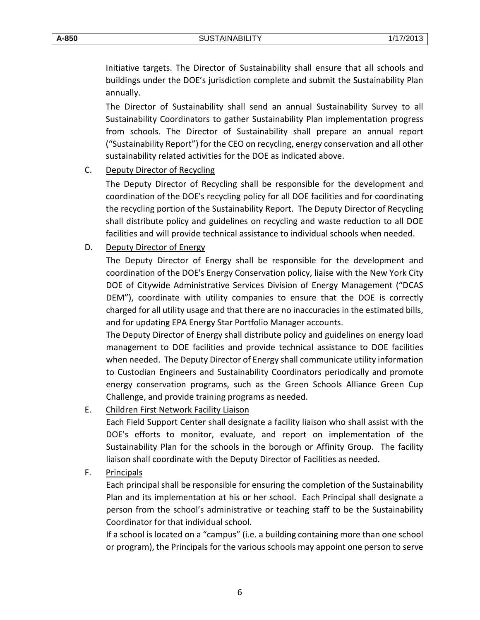Initiative targets. The Director of Sustainability shall ensure that all schools and buildings under the DOE's jurisdiction complete and submit the Sustainability Plan annually.

The Director of Sustainability shall send an annual Sustainability Survey to all Sustainability Coordinators to gather Sustainability Plan implementation progress from schools. The Director of Sustainability shall prepare an annual report ("Sustainability Report") for the CEO on recycling, energy conservation and all other sustainability related activities for the DOE as indicated above.

### C. Deputy Director of Recycling

The Deputy Director of Recycling shall be responsible for the development and coordination of the DOE's recycling policy for all DOE facilities and for coordinating the recycling portion of the Sustainability Report. The Deputy Director of Recycling shall distribute policy and guidelines on recycling and waste reduction to all DOE facilities and will provide technical assistance to individual schools when needed.

### D. Deputy Director of Energy

The Deputy Director of Energy shall be responsible for the development and coordination of the DOE's Energy Conservation policy, liaise with the New York City DOE of Citywide Administrative Services Division of Energy Management ("DCAS DEM"), coordinate with utility companies to ensure that the DOE is correctly charged for all utility usage and that there are no inaccuracies in the estimated bills, and for updating EPA Energy Star Portfolio Manager accounts.

The Deputy Director of Energy shall distribute policy and guidelines on energy load management to DOE facilities and provide technical assistance to DOE facilities when needed. The Deputy Director of Energy shall communicate utility information to Custodian Engineers and Sustainability Coordinators periodically and promote energy conservation programs, such as the Green Schools Alliance Green Cup Challenge, and provide training programs as needed.

E. Children First Network Facility Liaison

Each Field Support Center shall designate a facility liaison who shall assist with the DOE's efforts to monitor, evaluate, and report on implementation of the Sustainability Plan for the schools in the borough or Affinity Group. The facility liaison shall coordinate with the Deputy Director of Facilities as needed.

F. Principals

Each principal shall be responsible for ensuring the completion of the Sustainability Plan and its implementation at his or her school. Each Principal shall designate a person from the school's administrative or teaching staff to be the Sustainability Coordinator for that individual school.

If a school is located on a "campus" (i.e. a building containing more than one school or program), the Principals for the various schools may appoint one person to serve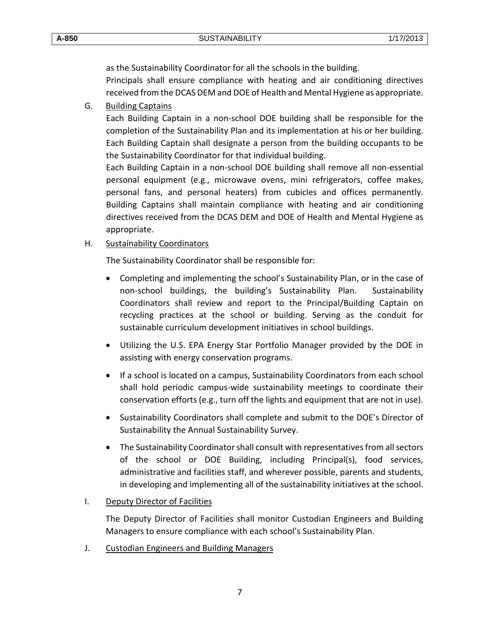as the Sustainability Coordinator for all the schools in the building.

Principals shall ensure compliance with heating and air conditioning directives received from the DCAS DEM and DOE of Health and Mental Hygiene as appropriate.

G. Building Captains

Each Building Captain in a non-school DOE building shall be responsible for the completion of the Sustainability Plan and its implementation at his or her building. Each Building Captain shall designate a person from the building occupants to be the Sustainability Coordinator for that individual building.

Each Building Captain in a non-school DOE building shall remove all non-essential personal equipment (e.g., microwave ovens, mini refrigerators, coffee makes, personal fans, and personal heaters) from cubicles and offices permanently. Building Captains shall maintain compliance with heating and air conditioning directives received from the DCAS DEM and DOE of Health and Mental Hygiene as appropriate.

## H. Sustainability Coordinators

The Sustainability Coordinator shall be responsible for:

- Completing and implementing the school's Sustainability Plan, or in the case of non-school buildings, the building's Sustainability Plan. Sustainability Coordinators shall review and report to the Principal/Building Captain on recycling practices at the school or building. Serving as the conduit for sustainable curriculum development initiatives in school buildings.
- Utilizing the U.S. EPA Energy Star Portfolio Manager provided by the DOE in assisting with energy conservation programs.
- If a school is located on a campus, Sustainability Coordinators from each school shall hold periodic campus-wide sustainability meetings to coordinate their conservation efforts (e.g., turn off the lights and equipment that are not in use).
- Sustainability Coordinators shall complete and submit to the DOE's Director of Sustainability the Annual Sustainability Survey.
- The Sustainability Coordinator shall consult with representatives from all sectors of the school or DOE Building, including Principal(s), food services, administrative and facilities staff, and wherever possible, parents and students, in developing and implementing all of the sustainability initiatives at the school.

## I. Deputy Director of Facilities

The Deputy Director of Facilities shall monitor Custodian Engineers and Building Managers to ensure compliance with each school's Sustainability Plan.

J. Custodian Engineers and Building Managers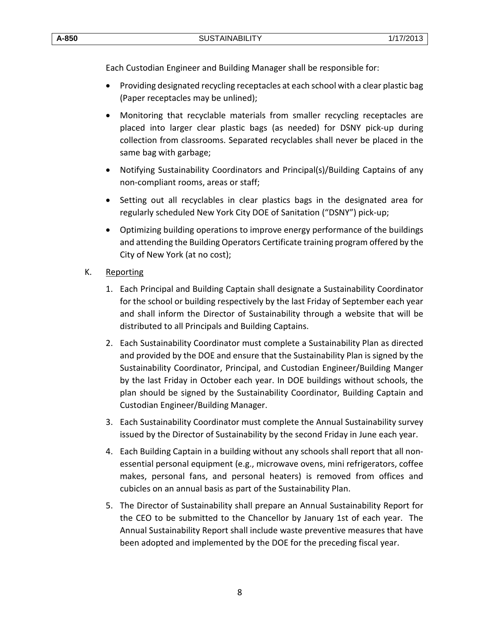Each Custodian Engineer and Building Manager shall be responsible for:

- Providing designated recycling receptacles at each school with a clear plastic bag (Paper receptacles may be unlined);
- Monitoring that recyclable materials from smaller recycling receptacles are placed into larger clear plastic bags (as needed) for DSNY pick-up during collection from classrooms. Separated recyclables shall never be placed in the same bag with garbage;
- Notifying Sustainability Coordinators and Principal(s)/Building Captains of any non-compliant rooms, areas or staff;
- Setting out all recyclables in clear plastics bags in the designated area for regularly scheduled New York City DOE of Sanitation ("DSNY") pick-up;
- Optimizing building operations to improve energy performance of the buildings and attending the Building Operators Certificate training program offered by the City of New York (at no cost);
- K. Reporting
	- 1. Each Principal and Building Captain shall designate a Sustainability Coordinator for the school or building respectively by the last Friday of September each year and shall inform the Director of Sustainability through a website that will be distributed to all Principals and Building Captains.
	- 2. Each Sustainability Coordinator must complete a Sustainability Plan as directed and provided by the DOE and ensure that the Sustainability Plan is signed by the Sustainability Coordinator, Principal, and Custodian Engineer/Building Manger by the last Friday in October each year. In DOE buildings without schools, the plan should be signed by the Sustainability Coordinator, Building Captain and Custodian Engineer/Building Manager.
	- 3. Each Sustainability Coordinator must complete the Annual Sustainability survey issued by the Director of Sustainability by the second Friday in June each year.
	- 4. Each Building Captain in a building without any schools shall report that all nonessential personal equipment (e.g., microwave ovens, mini refrigerators, coffee makes, personal fans, and personal heaters) is removed from offices and cubicles on an annual basis as part of the Sustainability Plan.
	- 5. The Director of Sustainability shall prepare an Annual Sustainability Report for the CEO to be submitted to the Chancellor by January 1st of each year. The Annual Sustainability Report shall include waste preventive measures that have been adopted and implemented by the DOE for the preceding fiscal year.